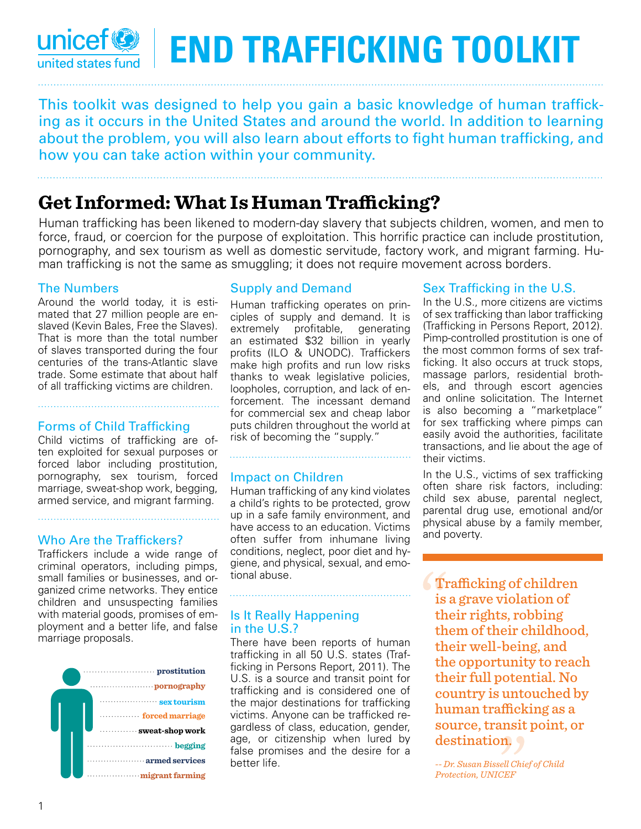### **unicef END Trafficking TOOLKIT** united states fund

This toolkit was designed to help you gain a basic knowledge of human trafficking as it occurs in the United States and around the world. In addition to learning about the problem, you will also learn about efforts to fight human trafficking, and how you can take action within your community.

## **Get Informed: What Is Human Trafficking?**

Human trafficking has been likened to modern-day slavery that subjects children, women, and men to force, fraud, or coercion for the purpose of exploitation. This horrific practice can include prostitution, pornography, and sex tourism as well as domestic servitude, factory work, and migrant farming. Human trafficking is not the same as smuggling; it does not require movement across borders.

#### The Numbers

Around the world today, it is estimated that 27 million people are enslaved (Kevin Bales, Free the Slaves). That is more than the total number of slaves transported during the four centuries of the trans-Atlantic slave trade. Some estimate that about half of all trafficking victims are children.

#### Forms of Child Trafficking

Child victims of trafficking are often exploited for sexual purposes or forced labor including prostitution, pornography, sex tourism, forced marriage, sweat-shop work, begging, armed service, and migrant farming.

#### Who Are the Traffickers?

Traffickers include a wide range of criminal operators, including pimps, small families or businesses, and organized crime networks. They entice children and unsuspecting families with material goods, promises of employment and a better life, and false marriage proposals.



#### Supply and Demand

Human trafficking operates on principles of supply and demand. It is extremely profitable, generating an estimated \$32 billion in yearly profits (ILO & UNODC). Traffickers make high profits and run low risks thanks to weak legislative policies, loopholes, corruption, and lack of enforcement. The incessant demand for commercial sex and cheap labor puts children throughout the world at risk of becoming the "supply."

#### Impact on Children

Human trafficking of any kind violates a child's rights to be protected, grow up in a safe family environment, and have access to an education. Victims often suffer from inhumane living conditions, neglect, poor diet and hygiene, and physical, sexual, and emotional abuse.

#### Is It Really Happening in the U.S.?

There have been reports of human trafficking in all 50 U.S. states (Trafficking in Persons Report, 2011). The U.S. is a source and transit point for trafficking and is considered one of the major destinations for trafficking victims. Anyone can be trafficked regardless of class, education, gender, age, or citizenship when lured by false promises and the desire for a better life.

#### Sex Trafficking in the U.S.

In the U.S., more citizens are victims of sex trafficking than labor trafficking (Trafficking in Persons Report, 2012). Pimp-controlled prostitution is one of the most common forms of sex trafficking. It also occurs at truck stops, massage parlors, residential brothels, and through escort agencies and online solicitation. The Internet is also becoming a "marketplace" for sex trafficking where pimps can easily avoid the authorities, facilitate transactions, and lie about the age of their victims.

In the U.S., victims of sex trafficking often share risk factors, including: child sex abuse, parental neglect, parental drug use, emotional and/or physical abuse by a family member, and poverty.

Trafficking of children is a grave violation of their rights, robbing them of their childhood, their well-being, and the opportunity to reach their full potential. No country is untouched by human trafficking as a source, transit point, or destination.

*-- Dr. Susan Bissell Chief of Child Protection, UNICEF*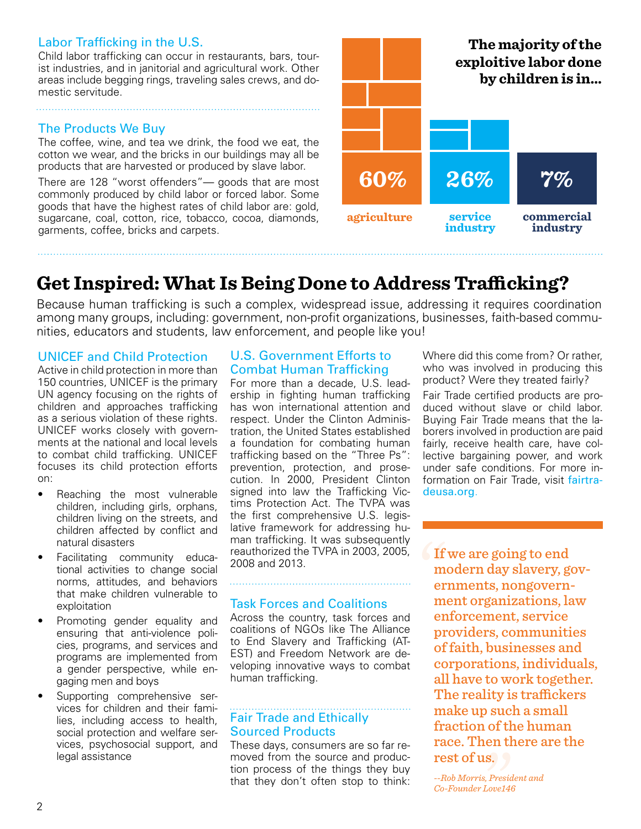#### Labor Trafficking in the U.S.

Child labor trafficking can occur in restaurants, bars, tourist industries, and in janitorial and agricultural work. Other areas include begging rings, traveling sales crews, and domestic servitude.

### The Products We Buy

The coffee, wine, and tea we drink, the food we eat, the cotton we wear, and the bricks in our buildings may all be products that are harvested or produced by slave labor.

There are 128 "worst offenders"— goods that are most commonly produced by child labor or forced labor. Some goods that have the highest rates of child labor are: gold, sugarcane, coal, cotton, rice, tobacco, cocoa, diamonds, garments, coffee, bricks and carpets.



# **Get Inspired: What Is Being Done to Address Trafficking?**

Because human trafficking is such a complex, widespread issue, addressing it requires coordination among many groups, including: government, non-profit organizations, businesses, faith-based communities, educators and students, law enforcement, and people like you!

#### UNICEF and Child Protection

Active in child protection in more than 150 countries, UNICEF is the primary UN agency focusing on the rights of children and approaches trafficking as a serious violation of these rights. UNICEF works closely with governments at the national and local levels to combat child trafficking. UNICEF focuses its child protection efforts on:

- Reaching the most vulnerable children, including girls, orphans, children living on the streets, and children affected by conflict and natural disasters
- Facilitating community educational activities to change social norms, attitudes, and behaviors that make children vulnerable to exploitation
- Promoting gender equality and ensuring that anti-violence policies, programs, and services and programs are implemented from a gender perspective, while engaging men and boys
- Supporting comprehensive services for children and their families, including access to health, social protection and welfare services, psychosocial support, and legal assistance

#### U.S. Government Efforts to Combat Human Trafficking

For more than a decade, U.S. leadership in fighting human trafficking has won international attention and respect. Under the Clinton Administration, the United States established a foundation for combating human trafficking based on the "Three Ps": prevention, protection, and prosecution. In 2000, President Clinton signed into law the Trafficking Victims Protection Act. The TVPA was the first comprehensive U.S. legislative framework for addressing human trafficking. It was subsequently reauthorized the TVPA in 2003, 2005, 2008 and 2013.

#### Task Forces and Coalitions

Across the country, task forces and coalitions of NGOs like The Alliance to End Slavery and Trafficking (AT-EST) and Freedom Network are developing innovative ways to combat human trafficking.

#### . . . . . . . . . . . . . . . . Fair Trade and Ethically Sourced Products

These days, consumers are so far removed from the source and production process of the things they buy that they don't often stop to think: Where did this come from? Or rather, who was involved in producing this product? Were they treated fairly?

Fair Trade certified products are produced without slave or child labor. Buying Fair Trade means that the laborers involved in production are paid fairly, receive health care, have collective bargaining power, and work under safe conditions. For more information on Fair Trade, visit fairtradeusa.org.

If we are going to end modern day slavery, governments, nongovernment organizations, law enforcement, service providers, communities of faith, businesses and corporations, individuals, all have to work together. The reality is traffickers make up such a small fraction of the human race. Then there are the rest of us.

*--Rob Morris, President and Co-Founder Love146*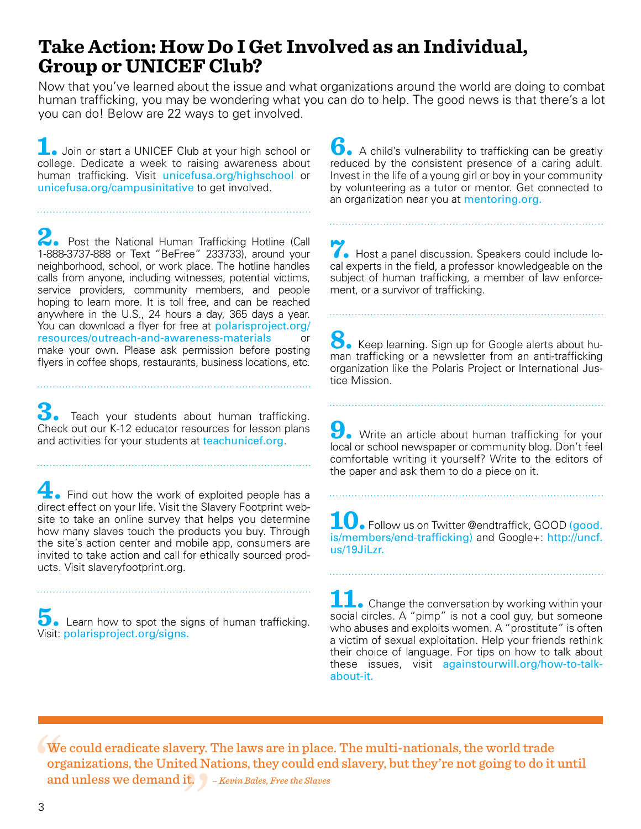### **Take Action: How Do I Get Involved as an Individual, Group or UNICEF Club?**

Now that you've learned about the issue and what organizations around the world are doing to combat human trafficking, you may be wondering what you can do to help. The good news is that there's a lot you can do! Below are 22 ways to get involved.

**1.** Join or start a UNICEF Club at your high school or college. Dedicate a week to raising awareness about human trafficking. Visit unicefusa.org/highschool or unicefusa.org/campusinitative to get involved.

2. Post the National Human Trafficking Hotline (Call 1-888-3737-888 or Text "BeFree" 233733), around your neighborhood, school, or work place. The hotline handles calls from anyone, including witnesses, potential victims, service providers, community members, and people hoping to learn more. It is toll free, and can be reached anywhere in the U.S., 24 hours a day, 365 days a year. You can download a flyer for free at polarisproject.org/ resources/outreach-and-awareness-materials or make your own. Please ask permission before posting flyers in coffee shops, restaurants, business locations, etc.

**3.** Teach your students about human trafficking. Check out our K-12 educator resources for lesson plans and activities for your students at teachunicef.org.

**4.** Find out how the work of exploited people has a direct effect on your life. Visit the Slavery Footprint website to take an online survey that helps you determine how many slaves touch the products you buy. Through the site's action center and mobile app, consumers are invited to take action and call for ethically sourced products. Visit slaveryfootprint.org.

**3.** Learn how to spot the signs of human trafficking. Visit: polarisproject.org/signs.

**6.** A child's vulnerability to trafficking can be greatly reduced by the consistent presence of a caring adult. Invest in the life of a young girl or boy in your community by volunteering as a tutor or mentor. Get connected to an organization near you at mentoring.org.

**7.** Host a panel discussion. Speakers could include local experts in the field, a professor knowledgeable on the subject of human trafficking, a member of law enforcement, or a survivor of trafficking.

8. Keep learning. Sign up for Google alerts about human trafficking or a newsletter from an anti-trafficking organization like the Polaris Project or International Justice Mission.

**9.** Write an article about human trafficking for your local or school newspaper or community blog. Don't feel comfortable writing it yourself? Write to the editors of the paper and ask them to do a piece on it.

10. Follow us on Twitter @endtraffick, GOOD (good. is/members/end-trafficking) and Google+: http://uncf. us/19JiLzr.

**11.** Change the conversation by working within your social circles. A "pimp" is not a cool guy, but someone who abuses and exploits women. A "prostitute" is often a victim of sexual exploitation. Help your friends rethink their choice of language. For tips on how to talk about these issues, visit againstourwill.org/how-to-talkabout-it.

We could eradicate slavery. The laws are in place. The multi-nationals, the world trade organizations, the United Nations, they could end slavery, but they're not going to do it until and unless we demand it. *– Kevin Bales, Free the Slaves*